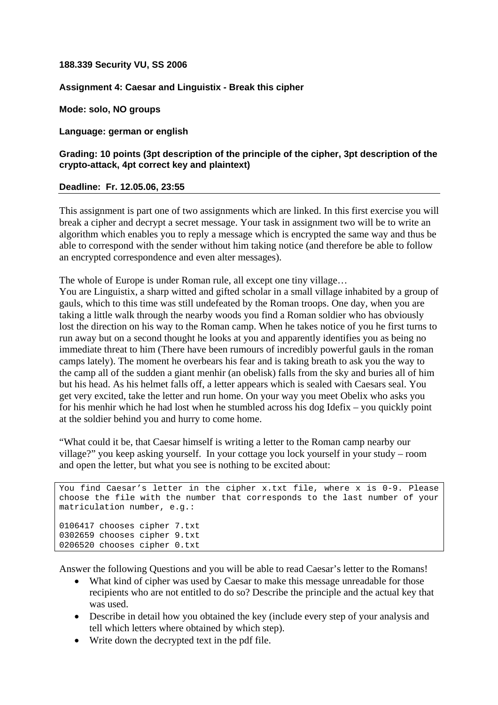## **188.339 Security VU, SS 2006**

## **Assignment 4: Caesar and Linguistix - Break this cipher**

**Mode: solo, NO groups** 

**Language: german or english** 

## **Grading: 10 points (3pt description of the principle of the cipher, 3pt description of the crypto-attack, 4pt correct key and plaintext)**

## **Deadline: Fr. 12.05.06, 23:55**

This assignment is part one of two assignments which are linked. In this first exercise you will break a cipher and decrypt a secret message. Your task in assignment two will be to write an algorithm which enables you to reply a message which is encrypted the same way and thus be able to correspond with the sender without him taking notice (and therefore be able to follow an encrypted correspondence and even alter messages).

The whole of Europe is under Roman rule, all except one tiny village…

You are Linguistix, a sharp witted and gifted scholar in a small village inhabited by a group of gauls, which to this time was still undefeated by the Roman troops. One day, when you are taking a little walk through the nearby woods you find a Roman soldier who has obviously lost the direction on his way to the Roman camp. When he takes notice of you he first turns to run away but on a second thought he looks at you and apparently identifies you as being no immediate threat to him (There have been rumours of incredibly powerful gauls in the roman camps lately). The moment he overbears his fear and is taking breath to ask you the way to the camp all of the sudden a giant menhir (an obelisk) falls from the sky and buries all of him but his head. As his helmet falls off, a letter appears which is sealed with Caesars seal. You get very excited, take the letter and run home. On your way you meet Obelix who asks you for his menhir which he had lost when he stumbled across his dog Idefix – you quickly point at the soldier behind you and hurry to come home.

"What could it be, that Caesar himself is writing a letter to the Roman camp nearby our village?" you keep asking yourself. In your cottage you lock yourself in your study – room and open the letter, but what you see is nothing to be excited about:

```
You find Caesar's letter in the cipher x.txt file, where x is 0-9. Please 
choose the file with the number that corresponds to the last number of your 
matriculation number, e.g.: 
0106417 chooses cipher 7.txt 
0302659 chooses cipher 9.txt 
0206520 chooses cipher 0.txt
```
Answer the following Questions and you will be able to read Caesar's letter to the Romans!

- What kind of cipher was used by Caesar to make this message unreadable for those recipients who are not entitled to do so? Describe the principle and the actual key that was used.
- Describe in detail how you obtained the key (include every step of your analysis and tell which letters where obtained by which step).
- Write down the decrypted text in the pdf file.